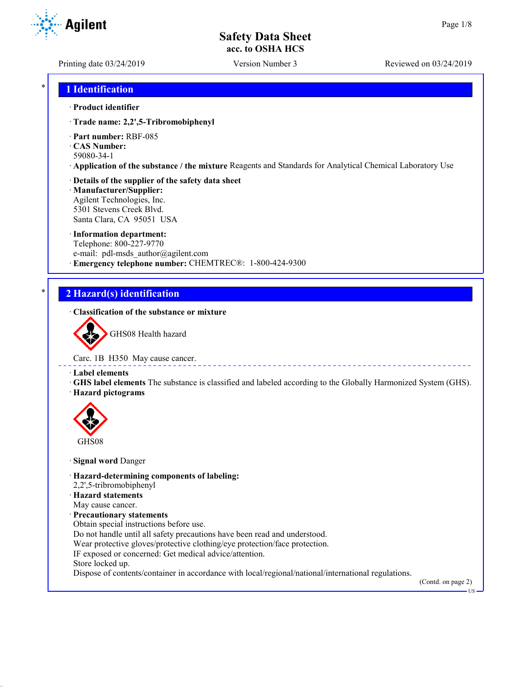Printing date 03/24/2019 Version Number 3 Reviewed on 03/24/2019

\* **1 Identification**

#### · **Product identifier**

- · **Trade name: 2,2',5-Tribromobiphenyl**
- · **Part number:** RBF-085
- · **CAS Number:** 59080-34-1
- · **Application of the substance / the mixture** Reagents and Standards for Analytical Chemical Laboratory Use
- · **Details of the supplier of the safety data sheet**
- · **Manufacturer/Supplier:** Agilent Technologies, Inc. 5301 Stevens Creek Blvd. Santa Clara, CA 95051 USA
- · **Information department:** Telephone: 800-227-9770 e-mail: pdl-msds author@agilent.com · **Emergency telephone number:** CHEMTREC®: 1-800-424-9300

## \* **2 Hazard(s) identification**

· **Classification of the substance or mixture**



Carc. 1B H350 May cause cancer.

- · **Label elements**
- · **GHS label elements** The substance is classified and labeled according to the Globally Harmonized System (GHS). · **Hazard pictograms**



GHS08

- · **Signal word** Danger
- · **Hazard-determining components of labeling:**
- 2,2',5-tribromobiphenyl
- · **Hazard statements**
- May cause cancer.
- · **Precautionary statements**
- Obtain special instructions before use.
- Do not handle until all safety precautions have been read and understood.
- Wear protective gloves/protective clothing/eye protection/face protection.
- IF exposed or concerned: Get medical advice/attention.
- Store locked up.
- Dispose of contents/container in accordance with local/regional/national/international regulations.

(Contd. on page 2)

US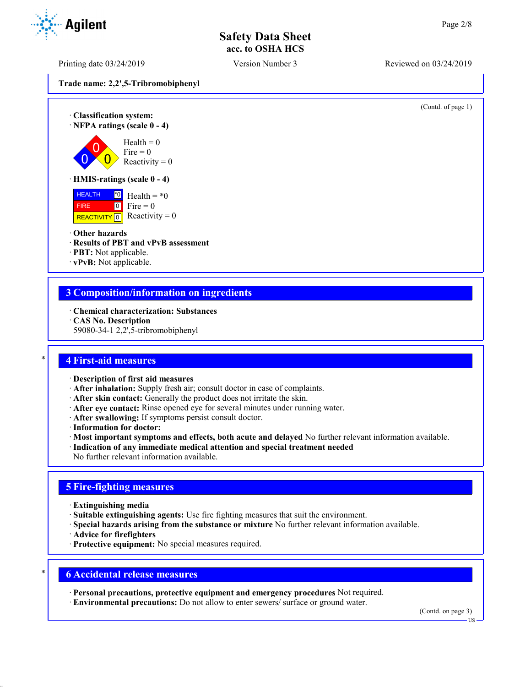Printing date 03/24/2019 Version Number 3 Reviewed on 03/24/2019

**Trade name: 2,2',5-Tribromobiphenyl**



### **3 Composition/information on ingredients**

- · **Chemical characterization: Substances**
- · **CAS No. Description**
- 59080-34-1 2,2',5-tribromobiphenyl

#### \* **4 First-aid measures**

- · **Description of first aid measures**
- · **After inhalation:** Supply fresh air; consult doctor in case of complaints.
- · **After skin contact:** Generally the product does not irritate the skin.
- · **After eye contact:** Rinse opened eye for several minutes under running water.
- · **After swallowing:** If symptoms persist consult doctor.
- · **Information for doctor:**
- · **Most important symptoms and effects, both acute and delayed** No further relevant information available.
- · **Indication of any immediate medical attention and special treatment needed**
- No further relevant information available.

## **5 Fire-fighting measures**

- · **Extinguishing media**
- · **Suitable extinguishing agents:** Use fire fighting measures that suit the environment.
- · **Special hazards arising from the substance or mixture** No further relevant information available.
- · **Advice for firefighters**
- · **Protective equipment:** No special measures required.

## \* **6 Accidental release measures**

- · **Personal precautions, protective equipment and emergency procedures** Not required.
- · **Environmental precautions:** Do not allow to enter sewers/ surface or ground water.

(Contd. on page 3)



US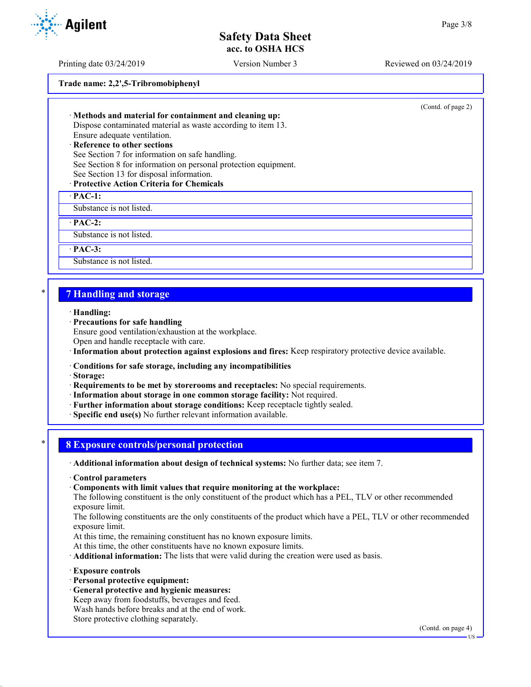Printing date 03/24/2019 Version Number 3 Reviewed on 03/24/2019

**Trade name: 2,2',5-Tribromobiphenyl**

(Contd. of page 2)

· **Methods and material for containment and cleaning up:** Dispose contaminated material as waste according to item 13. Ensure adequate ventilation. · **Reference to other sections**

See Section 7 for information on safe handling. See Section 8 for information on personal protection equipment. See Section 13 for disposal information.

#### · **Protective Action Criteria for Chemicals**

· **PAC-1:**

Substance is not listed.

· **PAC-2:**

Substance is not listed.

· **PAC-3:**

Substance is not listed.

#### \* **7 Handling and storage**

- · **Handling:**
- · **Precautions for safe handling**

Ensure good ventilation/exhaustion at the workplace.

Open and handle receptacle with care.

- · **Information about protection against explosions and fires:** Keep respiratory protective device available.
- · **Conditions for safe storage, including any incompatibilities**
- · **Storage:**
- · **Requirements to be met by storerooms and receptacles:** No special requirements.
- · **Information about storage in one common storage facility:** Not required.
- · **Further information about storage conditions:** Keep receptacle tightly sealed.

· **Specific end use(s)** No further relevant information available.

#### \* **8 Exposure controls/personal protection**

· **Additional information about design of technical systems:** No further data; see item 7.

- · **Control parameters**
- · **Components with limit values that require monitoring at the workplace:**

The following constituent is the only constituent of the product which has a PEL, TLV or other recommended exposure limit.

The following constituents are the only constituents of the product which have a PEL, TLV or other recommended exposure limit.

At this time, the remaining constituent has no known exposure limits.

At this time, the other constituents have no known exposure limits.

· **Additional information:** The lists that were valid during the creation were used as basis.

- · **Exposure controls**
- · **Personal protective equipment:**
- · **General protective and hygienic measures:** Keep away from foodstuffs, beverages and feed.

Wash hands before breaks and at the end of work.

Store protective clothing separately.

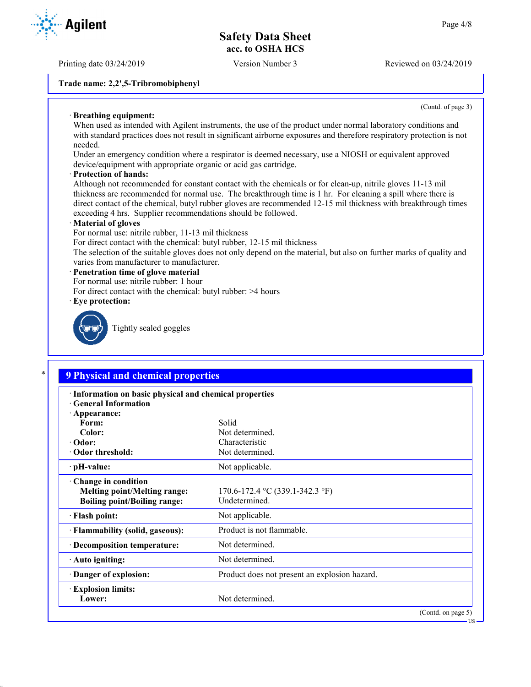Printing date 03/24/2019 Version Number 3 Reviewed on 03/24/2019

#### **Trade name: 2,2',5-Tribromobiphenyl**

(Contd. of page 3)

US

#### · **Breathing equipment:**

When used as intended with Agilent instruments, the use of the product under normal laboratory conditions and with standard practices does not result in significant airborne exposures and therefore respiratory protection is not needed.

Under an emergency condition where a respirator is deemed necessary, use a NIOSH or equivalent approved device/equipment with appropriate organic or acid gas cartridge.

#### · **Protection of hands:**

Although not recommended for constant contact with the chemicals or for clean-up, nitrile gloves 11-13 mil thickness are recommended for normal use. The breakthrough time is 1 hr. For cleaning a spill where there is direct contact of the chemical, butyl rubber gloves are recommended 12-15 mil thickness with breakthrough times exceeding 4 hrs. Supplier recommendations should be followed.

#### · **Material of gloves**

For normal use: nitrile rubber, 11-13 mil thickness

For direct contact with the chemical: butyl rubber, 12-15 mil thickness

The selection of the suitable gloves does not only depend on the material, but also on further marks of quality and varies from manufacturer to manufacturer.

#### · **Penetration time of glove material**

- For normal use: nitrile rubber: 1 hour
- For direct contact with the chemical: butyl rubber: >4 hours
- · **Eye protection:**



Tightly sealed goggles

# \* **9 Physical and chemical properties**

| · Information on basic physical and chemical properties<br><b>Ceneral Information</b>             |                                                  |  |
|---------------------------------------------------------------------------------------------------|--------------------------------------------------|--|
| · Appearance:                                                                                     |                                                  |  |
| Form:                                                                                             | Solid                                            |  |
| Color:                                                                                            | Not determined.                                  |  |
| $\cdot$ Odor:                                                                                     | Characteristic                                   |  |
| Odor threshold:                                                                                   | Not determined.                                  |  |
| $\cdot$ pH-value:                                                                                 | Not applicable.                                  |  |
| Change in condition<br><b>Melting point/Melting range:</b><br><b>Boiling point/Boiling range:</b> | 170.6-172.4 °C (339.1-342.3 °F)<br>Undetermined. |  |
| · Flash point:                                                                                    | Not applicable.                                  |  |
| · Flammability (solid, gaseous):                                                                  | Product is not flammable.                        |  |
| · Decomposition temperature:                                                                      | Not determined.                                  |  |
| · Auto igniting:                                                                                  | Not determined.                                  |  |
| Danger of explosion:                                                                              | Product does not present an explosion hazard.    |  |
| <b>Explosion limits:</b>                                                                          |                                                  |  |
| Lower:                                                                                            | Not determined.                                  |  |
|                                                                                                   | (Contd. on page 5)                               |  |

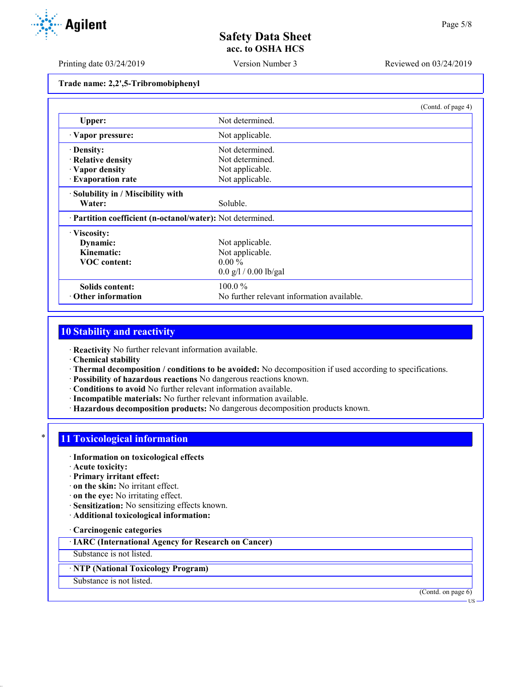Printing date 03/24/2019 Version Number 3 Reviewed on 03/24/2019

**Trade name: 2,2',5-Tribromobiphenyl**

|                                                            | (Contd. of page 4)                         |  |
|------------------------------------------------------------|--------------------------------------------|--|
| Upper:                                                     | Not determined.                            |  |
| Vapor pressure:                                            | Not applicable.                            |  |
| · Density:                                                 | Not determined.                            |  |
| · Relative density                                         | Not determined.                            |  |
| · Vapor density                                            | Not applicable.                            |  |
| · Evaporation rate                                         | Not applicable.                            |  |
| · Solubility in / Miscibility with                         |                                            |  |
| Water:                                                     | Soluble.                                   |  |
| · Partition coefficient (n-octanol/water): Not determined. |                                            |  |
| · Viscosity:                                               |                                            |  |
| Dynamic:                                                   | Not applicable.                            |  |
| Kinematic:                                                 | Not applicable.                            |  |
| <b>VOC</b> content:                                        | $0.00\%$                                   |  |
|                                                            | $0.0$ g/l / 0.00 lb/gal                    |  |
| Solids content:                                            | $100.0\%$                                  |  |
| $\cdot$ Other information                                  | No further relevant information available. |  |

#### **10 Stability and reactivity**

· **Reactivity** No further relevant information available.

· **Chemical stability**

- · **Thermal decomposition / conditions to be avoided:** No decomposition if used according to specifications.
- · **Possibility of hazardous reactions** No dangerous reactions known.
- · **Conditions to avoid** No further relevant information available.
- · **Incompatible materials:** No further relevant information available.
- · **Hazardous decomposition products:** No dangerous decomposition products known.

### **11 Toxicological information**

- · **Information on toxicological effects**
- · **Acute toxicity:**
- · **Primary irritant effect:**
- · **on the skin:** No irritant effect.
- · **on the eye:** No irritating effect.
- · **Sensitization:** No sensitizing effects known.
- · **Additional toxicological information:**
- · **Carcinogenic categories**

· **IARC (International Agency for Research on Cancer)**

Substance is not listed.

### · **NTP (National Toxicology Program)**

Substance is not listed.

(Contd. on page 6)

US

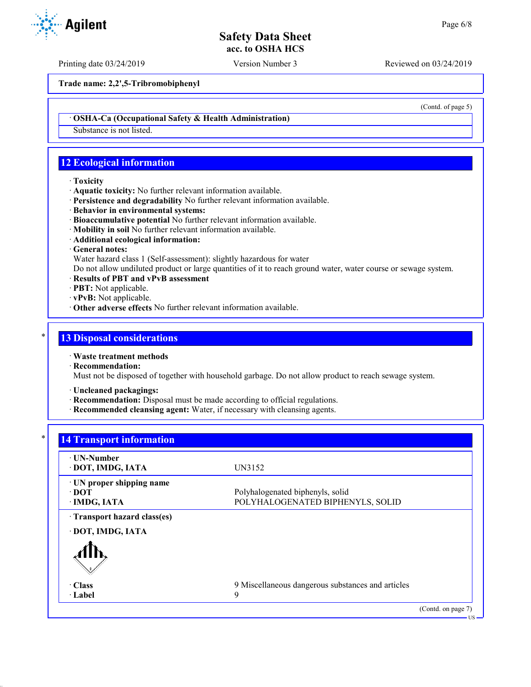Printing date 03/24/2019 Version Number 3 Reviewed on 03/24/2019

**Trade name: 2,2',5-Tribromobiphenyl**

· **OSHA-Ca (Occupational Safety & Health Administration)**

Substance is not listed.

## **12 Ecological information**

#### · **Toxicity**

- · **Aquatic toxicity:** No further relevant information available.
- · **Persistence and degradability** No further relevant information available.
- · **Behavior in environmental systems:**
- · **Bioaccumulative potential** No further relevant information available.
- · **Mobility in soil** No further relevant information available.
- · **Additional ecological information:**
- · **General notes:**

Water hazard class 1 (Self-assessment): slightly hazardous for water

Do not allow undiluted product or large quantities of it to reach ground water, water course or sewage system.

- · **Results of PBT and vPvB assessment**
- · **PBT:** Not applicable.
- · **vPvB:** Not applicable.
- · **Other adverse effects** No further relevant information available.

#### **13 Disposal considerations**

· **Waste treatment methods**

· **Recommendation:**

Must not be disposed of together with household garbage. Do not allow product to reach sewage system.

- · **Uncleaned packagings:**
- · **Recommendation:** Disposal must be made according to official regulations.
- · **Recommended cleansing agent:** Water, if necessary with cleansing agents.

### **14 Transport information**

| ⋅ UN-Number<br>· DOT, IMDG, IATA                   | UN3152                                                               |                    |
|----------------------------------------------------|----------------------------------------------------------------------|--------------------|
| · UN proper shipping name<br>∙ DOT<br>· IMDG, IATA | Polyhalogenated biphenyls, solid<br>POLYHALOGENATED BIPHENYLS, SOLID |                    |
| Transport hazard class(es)                         |                                                                      |                    |
| · DOT, IMDG, IATA                                  |                                                                      |                    |
|                                                    |                                                                      |                    |
| $\cdot$ Class                                      | 9 Miscellaneous dangerous substances and articles                    |                    |
| · Label                                            | 9                                                                    |                    |
|                                                    |                                                                      | (Contd. on page 7) |



(Contd. of page 5)

US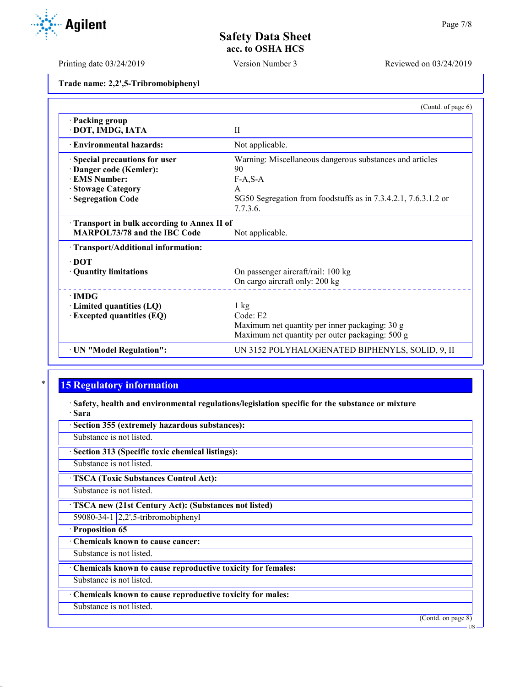US

## **Safety Data Sheet acc. to OSHA HCS**

Printing date 03/24/2019 Version Number 3 Reviewed on 03/24/2019

**Trade name: 2,2',5-Tribromobiphenyl**

|                                                                                                                                   | (Contd. of page 6)                                                                                                                                  |
|-----------------------------------------------------------------------------------------------------------------------------------|-----------------------------------------------------------------------------------------------------------------------------------------------------|
| · Packing group<br>· DOT, IMDG, IATA                                                                                              | $\mathbf{I}$                                                                                                                                        |
| <b>Environmental hazards:</b>                                                                                                     | Not applicable.                                                                                                                                     |
| Special precautions for user<br>Danger code (Kemler):<br><b>EMS Number:</b><br><b>Stowage Category</b><br><b>Segregation Code</b> | Warning: Miscellaneous dangerous substances and articles<br>90<br>$F-A, S-A$<br>A<br>SG50 Segregation from foodstuffs as in 7.3.4.2.1, 7.6.3.1.2 or |
| Transport in bulk according to Annex II of<br><b>MARPOL73/78 and the IBC Code</b>                                                 | 7.7.3.6.<br>Not applicable.                                                                                                                         |
| · Transport/Additional information:<br>$\cdot$ DOT<br>· Quantity limitations                                                      | On passenger aircraft/rail: 100 kg<br>On cargo aircraft only: 200 kg                                                                                |
| $\cdot$ IMDG<br>$\cdot$ Limited quantities (LQ)<br>$\cdot$ Excepted quantities (EQ)                                               | $1 \text{ kg}$<br>Code: E2<br>Maximum net quantity per inner packaging: 30 g<br>Maximum net quantity per outer packaging: 500 g                     |
| · UN "Model Regulation":                                                                                                          | UN 3152 POLYHALOGENATED BIPHENYLS, SOLID, 9, II                                                                                                     |

## **15 Regulatory information**

· **Safety, health and environmental regulations/legislation specific for the substance or mixture** · **Sara**

· **Section 355 (extremely hazardous substances):** Substance is not listed. · **Section 313 (Specific toxic chemical listings):** Substance is not listed. · **TSCA (Toxic Substances Control Act):** Substance is not listed. · **TSCA new (21st Century Act): (Substances not listed)** 59080-34-1 2,2',5-tribromobiphenyl · **Proposition 65** · **Chemicals known to cause cancer:** Substance is not listed. · **Chemicals known to cause reproductive toxicity for females:** Substance is not listed. · **Chemicals known to cause reproductive toxicity for males:** Substance is not listed. (Contd. on page 8)